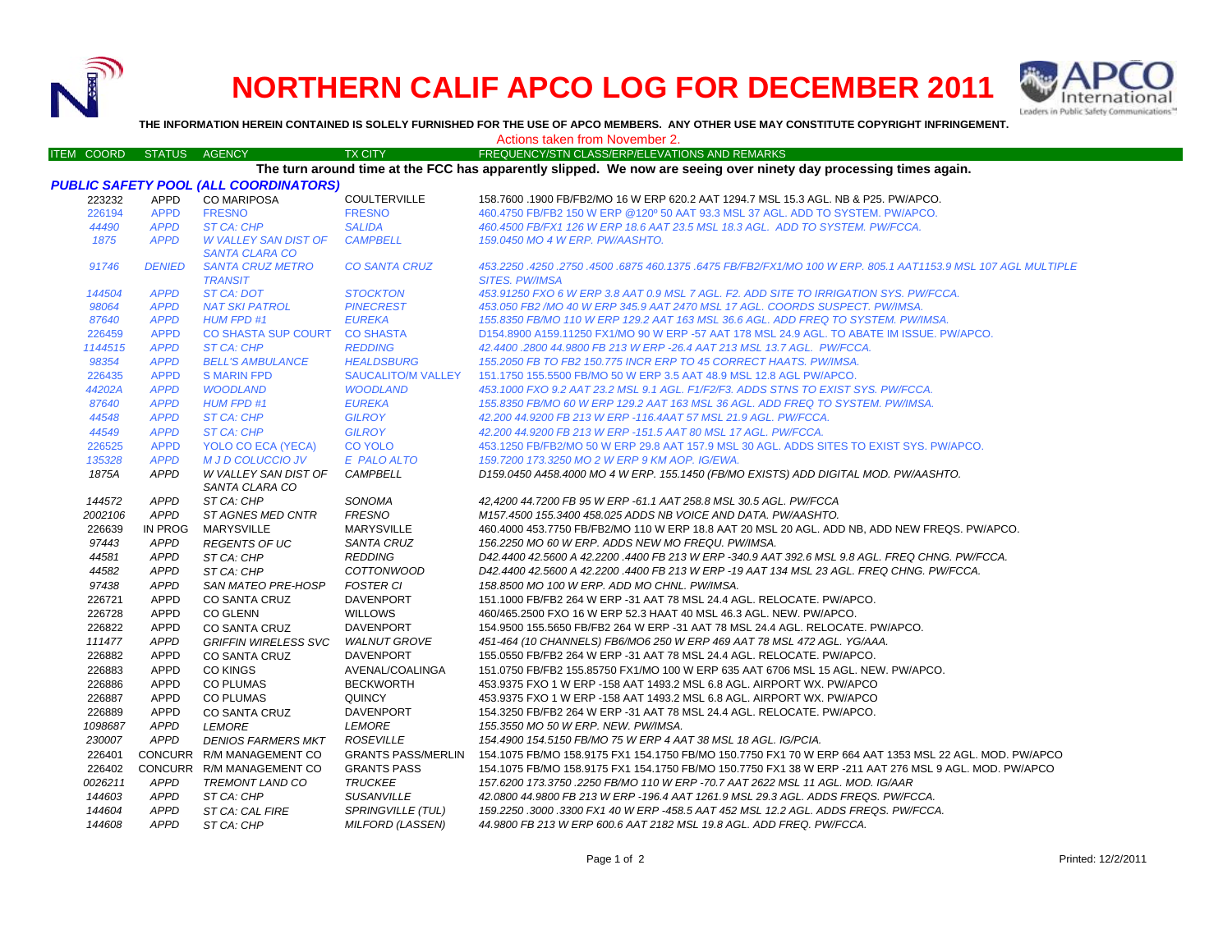

## **NORTHERN CALIF APCO LOG FOR DECEMBER 2011**



**THE INFORMATION HEREIN CONTAINED IS SOLELY FURNISHED FOR THE USE OF APCO MEMBERS. ANY OTHER USE MAY CONSTITUTE COPYRIGHT INFRINGEMENT.**

Actions taken from November 2.

| <b>ITEM COORD</b> | STATUS AGENCY |                                              | TX CITY                   | FREQUENCY/STN CLASS/ERP/ELEVATIONS AND REMARKS                                                                    |
|-------------------|---------------|----------------------------------------------|---------------------------|-------------------------------------------------------------------------------------------------------------------|
|                   |               |                                              |                           | The turn around time at the FCC has apparently slipped. We now are seeing over ninety day processing times again. |
|                   |               | <b>PUBLIC SAFETY POOL (ALL COORDINATORS)</b> |                           |                                                                                                                   |
| 223232            | <b>APPD</b>   | <b>CO MARIPOSA</b>                           | <b>COULTERVILLE</b>       | 158.7600 .1900 FB/FB2/MO 16 W ERP 620.2 AAT 1294.7 MSL 15.3 AGL. NB & P25. PW/APCO.                               |
| 226194            | <b>APPD</b>   | <b>FRESNO</b>                                | <b>FRESNO</b>             | 460.4750 FB/FB2 150 W ERP @120° 50 AAT 93.3 MSL 37 AGL, ADD TO SYSTEM, PW/APCO.                                   |
| 44490             | <b>APPD</b>   | <b>ST CA: CHP</b>                            | <b>SALIDA</b>             | 460.4500 FB/FX1 126 W ERP 18.6 AAT 23.5 MSL 18.3 AGL. ADD TO SYSTEM. PW/FCCA.                                     |
| 1875              | <b>APPD</b>   | <b>W VALLEY SAN DIST OF</b>                  | <b>CAMPBELL</b>           | 159.0450 MO 4 W ERP. PW/AASHTO.                                                                                   |
|                   |               | <b>SANTA CLARA CO</b>                        |                           |                                                                                                                   |
| 91746             | <b>DENIED</b> | <b>SANTA CRUZ METRO</b>                      | <b>CO SANTA CRUZ</b>      | 453.2250 .4250 .2750 .4500 .6875 460 .1375 .6475 FB/FB2/FX1/MO 100 W ERP. 805.1 AAT1153.9 MSL 107 AGL MULTIPLE    |
|                   |               | <b>TRANSIT</b>                               |                           | <b>SITES. PW/IMSA</b>                                                                                             |
| 144504            | <b>APPD</b>   | <b>ST CA: DOT</b>                            | <b>STOCKTON</b>           | 453.91250 FXO 6 W ERP 3.8 AAT 0.9 MSL 7 AGL. F2. ADD SITE TO IRRIGATION SYS. PW/FCCA.                             |
| 98064             | <b>APPD</b>   | NAT SKI PATROL                               | <b>PINECREST</b>          | 453.050 FB2 /MO 40 W ERP 345.9 AAT 2470 MSL 17 AGL. COORDS SUSPECT. PW/IMSA.                                      |
| 87640             | <b>APPD</b>   | <b>HUM FPD #1</b>                            | <b>EUREKA</b>             | 155.8350 FB/MO 110 W ERP 129.2 AAT 163 MSL 36.6 AGL. ADD FREQ TO SYSTEM. PW/IMSA.                                 |
| 226459            | <b>APPD</b>   | <b>CO SHASTA SUP COURT</b>                   | <b>CO SHASTA</b>          | D154.8900 A159.11250 FX1/MO 90 W ERP -57 AAT 178 MSL 24.9 AGL. TO ABATE IM ISSUE. PW/APCO.                        |
| 1144515           | <b>APPD</b>   | ST CA: CHP                                   | <b>REDDING</b>            | 42.4400.2800 44.9800 FB 213 W ERP -26.4 AAT 213 MSL 13.7 AGL. PW/FCCA.                                            |
| 98354             | <b>APPD</b>   | <b>BELL'S AMBULANCE</b>                      | <b>HEALDSBURG</b>         | 155.2050 FB TO FB2 150.775 INCR ERP TO 45 CORRECT HAATS. PW/IMSA.                                                 |
| 226435            | <b>APPD</b>   | <b>S MARIN FPD</b>                           | <b>SAUCALITO/M VALLEY</b> | 151.1750 155.5500 FB/MO 50 W ERP 3.5 AAT 48.9 MSL 12.8 AGL PW/APCO.                                               |
| 44202A            | <b>APPD</b>   | <b>WOODLAND</b>                              | <b>WOODLAND</b>           | 453.1000 FXO 9.2 AAT 23.2 MSL 9.1 AGL. F1/F2/F3. ADDS STNS TO EXIST SYS. PW/FCCA.                                 |
| 87640             | <b>APPD</b>   | <b>HUM FPD #1</b>                            | <b>EUREKA</b>             | 155.8350 FB/MO 60 W ERP 129.2 AAT 163 MSL 36 AGL. ADD FREQ TO SYSTEM. PW/IMSA.                                    |
| 44548             | <b>APPD</b>   | <b>ST CA: CHP</b>                            | <b>GILROY</b>             | 42.200 44.9200 FB 213 W ERP -116.4AAT 57 MSL 21.9 AGL. PW/FCCA.                                                   |
| 44549             | <b>APPD</b>   | <b>ST CA: CHP</b>                            | <b>GILROY</b>             | 42.200 44.9200 FB 213 W ERP -151.5 AAT 80 MSL 17 AGL, PW/FCCA.                                                    |
| 226525            | <b>APPD</b>   | YOLO CO ECA (YECA)                           | <b>CO YOLO</b>            | 453.1250 FB/FB2/MO 50 W ERP 29.8 AAT 157.9 MSL 30 AGL. ADDS SITES TO EXIST SYS. PW/APCO.                          |
| 135328            | <b>APPD</b>   | <b>M J D COLUCCIO JV</b>                     | E PALO ALTO               | 159.7200 173.3250 MO 2 W ERP 9 KM AOP. IG/EWA.                                                                    |
| 1875A             | <b>APPD</b>   | W VALLEY SAN DIST OF                         | <b>CAMPBELL</b>           | D159.0450 A458.4000 MO 4 W ERP. 155.1450 (FB/MO EXISTS) ADD DIGITAL MOD. PW/AASHTO.                               |
|                   |               | SANTA CLARA CO                               |                           |                                                                                                                   |
| 144572            | <b>APPD</b>   | ST CA: CHP                                   | SONOMA                    | 42.4200 44.7200 FB 95 W ERP -61.1 AAT 258.8 MSL 30.5 AGL. PW/FCCA                                                 |
| 2002106           | <b>APPD</b>   | <b>ST AGNES MED CNTR</b>                     | <b>FRESNO</b>             | M157.4500 155.3400 458.025 ADDS NB VOICE AND DATA. PW/AASHTO.                                                     |
| 226639            | IN PROG       | <b>MARYSVILLE</b>                            | <b>MARYSVILLE</b>         | 460.4000 453.7750 FB/FB2/MO 110 W ERP 18.8 AAT 20 MSL 20 AGL. ADD NB, ADD NEW FREQS. PW/APCO.                     |
| 97443             | <b>APPD</b>   | <b>REGENTS OF UC</b>                         | <b>SANTA CRUZ</b>         | 156.2250 MO 60 W ERP. ADDS NEW MO FREQU. PW/IMSA.                                                                 |
| 44581             | <b>APPD</b>   | ST CA: CHP                                   | <b>REDDING</b>            | D42.4400 42.5600 A 42.2200 .4400 FB 213 W ERP -340.9 AAT 392.6 MSL 9.8 AGL. FREQ CHNG. PW/FCCA.                   |
| 44582             | APPD          | ST CA: CHP                                   | <i>COTTONWOOD</i>         | D42.4400 42.5600 A 42.2200 .4400 FB 213 W ERP -19 AAT 134 MSL 23 AGL. FREQ CHNG. PW/FCCA.                         |
| 97438             | <b>APPD</b>   | <b>SAN MATEO PRE-HOSP</b>                    | <b>FOSTER CI</b>          | 158.8500 MO 100 W ERP. ADD MO CHNL. PW/IMSA.                                                                      |
| 226721            | <b>APPD</b>   | CO SANTA CRUZ                                | <b>DAVENPORT</b>          | 151.1000 FB/FB2 264 W ERP -31 AAT 78 MSL 24.4 AGL. RELOCATE. PW/APCO.                                             |
| 226728            | <b>APPD</b>   | <b>CO GLENN</b>                              | <b>WILLOWS</b>            | 460/465.2500 FXO 16 W ERP 52.3 HAAT 40 MSL 46.3 AGL. NEW. PW/APCO.                                                |
| 226822            | <b>APPD</b>   | CO SANTA CRUZ                                | <b>DAVENPORT</b>          | 154.9500 155.5650 FB/FB2 264 W ERP -31 AAT 78 MSL 24.4 AGL. RELOCATE. PW/APCO.                                    |
| 111477            | <b>APPD</b>   | <b>GRIFFIN WIRELESS SVC</b>                  | <b>WALNUT GROVE</b>       | 451-464 (10 CHANNELS) FB6/MO6 250 W ERP 469 AAT 78 MSL 472 AGL. YG/AAA.                                           |
| 226882            | <b>APPD</b>   | <b>CO SANTA CRUZ</b>                         | <b>DAVENPORT</b>          | 155.0550 FB/FB2 264 W ERP -31 AAT 78 MSL 24.4 AGL. RELOCATE. PW/APCO.                                             |
| 226883            | <b>APPD</b>   | <b>CO KINGS</b>                              | AVENAL/COALINGA           | 151.0750 FB/FB2 155.85750 FX1/MO 100 W ERP 635 AAT 6706 MSL 15 AGL. NEW. PW/APCO.                                 |
| 226886            | <b>APPD</b>   | <b>CO PLUMAS</b>                             | <b>BECKWORTH</b>          | 453.9375 FXO 1 W ERP -158 AAT 1493.2 MSL 6.8 AGL. AIRPORT WX. PW/APCO                                             |
| 226887            | <b>APPD</b>   | <b>CO PLUMAS</b>                             | QUINCY                    | 453.9375 FXO 1 W ERP -158 AAT 1493.2 MSL 6.8 AGL. AIRPORT WX. PW/APCO                                             |
| 226889            | <b>APPD</b>   | CO SANTA CRUZ                                | <b>DAVENPORT</b>          | 154.3250 FB/FB2 264 W ERP -31 AAT 78 MSL 24.4 AGL. RELOCATE. PW/APCO.                                             |
| 1098687           | APPD          | <b>LEMORE</b>                                | <b>LEMORE</b>             | 155.3550 MO 50 W ERP. NEW. PW/IMSA.                                                                               |
| 230007            | <b>APPD</b>   | <b>DENIOS FARMERS MKT</b>                    | <b>ROSEVILLE</b>          | 154.4900 154.5150 FB/MO 75 W ERP 4 AAT 38 MSL 18 AGL, IG/PCIA.                                                    |
| 226401            |               |                                              |                           | 154.1075 FB/MO 158.9175 FX1 154.1750 FB/MO 150.7750 FX1 70 W ERP 664 AAT 1353 MSL 22 AGL. MOD. PW/APCO            |
|                   |               | CONCURR R/M MANAGEMENT CO                    | <b>GRANTS PASS/MERLIN</b> |                                                                                                                   |
| 226402            |               | CONCURR R/M MANAGEMENT CO                    | <b>GRANTS PASS</b>        | 154.1075 FB/MO 158.9175 FX1 154.1750 FB/MO 150.7750 FX1 38 W ERP -211 AAT 276 MSL 9 AGL. MOD. PW/APCO             |
| 0026211           | <b>APPD</b>   | <b>TREMONT LAND CO</b>                       | <b>TRUCKEE</b>            | 157.6200 173.3750 .2250 FB/MO 110 W ERP -70.7 AAT 2622 MSL 11 AGL. MOD. IG/AAR                                    |
| 144603            | <b>APPD</b>   | ST CA: CHP                                   | <b>SUSANVILLE</b>         | 42.0800 44.9800 FB 213 W ERP -196.4 AAT 1261.9 MSL 29.3 AGL. ADDS FREQS. PW/FCCA.                                 |
| 144604            | <b>APPD</b>   | ST CA: CAL FIRE                              | <b>SPRINGVILLE (TUL)</b>  | 159.2250.3000.3300 FX1 40 W ERP -458.5 AAT 452 MSL 12.2 AGL. ADDS FREQS. PW/FCCA.                                 |
| 144608            | <b>APPD</b>   | ST CA: CHP                                   | MILFORD (LASSEN)          | 44.9800 FB 213 W ERP 600.6 AAT 2182 MSL 19.8 AGL. ADD FREQ. PW/FCCA.                                              |